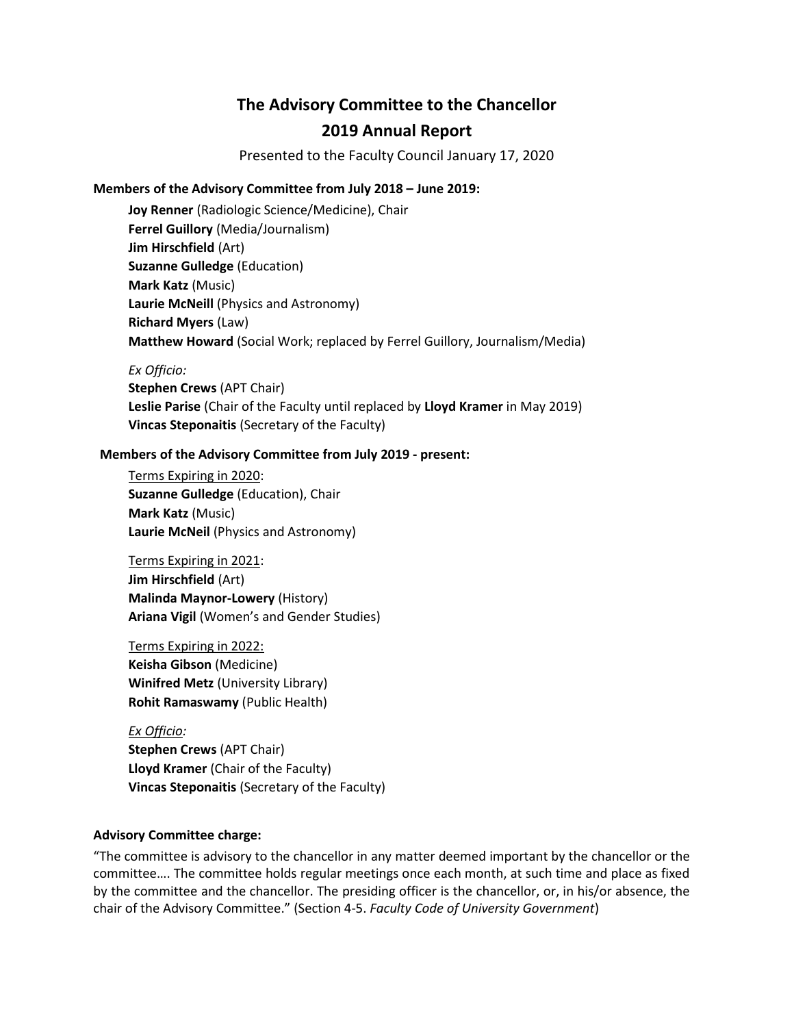# **The Advisory Committee to the Chancellor 2019 Annual Report**

Presented to the Faculty Council January 17, 2020

## **Members of the Advisory Committee from July 2018 – June 2019:**

**Joy Renner** (Radiologic Science/Medicine), Chair **Ferrel Guillory** (Media/Journalism) **Jim Hirschfield** (Art) **Suzanne Gulledge** (Education) **Mark Katz** (Music) **Laurie McNeill** (Physics and Astronomy) **Richard Myers** (Law) **Matthew Howard** (Social Work; replaced by Ferrel Guillory, Journalism/Media)

### *Ex Officio:*

**Stephen Crews** (APT Chair) **Leslie Parise** (Chair of the Faculty until replaced by **Lloyd Kramer** in May 2019) **Vincas Steponaitis** (Secretary of the Faculty)

## **Members of the Advisory Committee from July 2019 - present:**

Terms Expiring in 2020: **Suzanne Gulledge** (Education), Chair **Mark Katz** (Music) **Laurie McNeil** (Physics and Astronomy)

Terms Expiring in 2021: **Jim Hirschfield** (Art) **Malinda Maynor-Lowery** (History) **Ariana Vigil** (Women's and Gender Studies)

Terms Expiring in 2022: **Keisha Gibson** (Medicine) **Winifred Metz** (University Library) **Rohit Ramaswamy** (Public Health)

*Ex Officio:* **Stephen Crews** (APT Chair) **Lloyd Kramer** (Chair of the Faculty) **Vincas Steponaitis** (Secretary of the Faculty)

## **Advisory Committee charge:**

"The committee is advisory to the chancellor in any matter deemed important by the chancellor or the committee…. The committee holds regular meetings once each month, at such time and place as fixed by the committee and the chancellor. The presiding officer is the chancellor, or, in his/or absence, the chair of the Advisory Committee." (Section 4-5. *Faculty Code of University Government*)